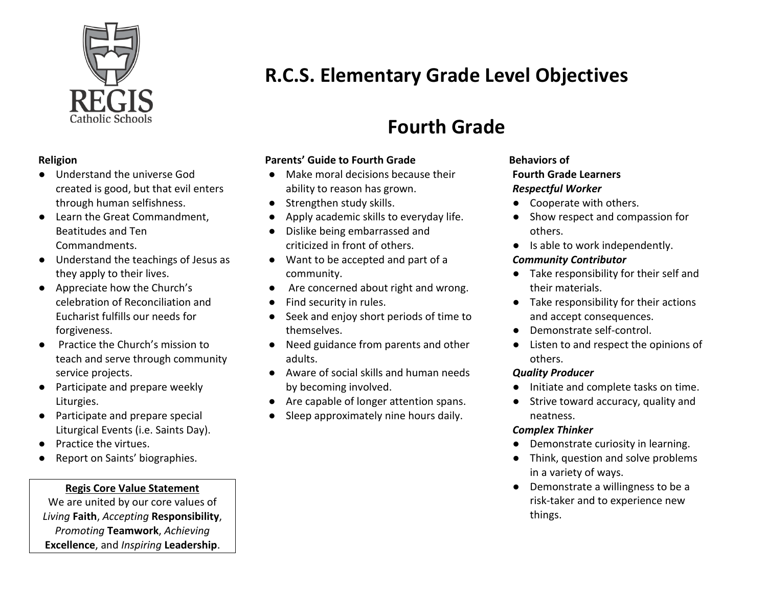

#### **Religion**

- Understand the universe God created is good, but that evil enters through human selfishness.
- Learn the Great Commandment, Beatitudes and Ten Commandments.
- Understand the teachings of Jesus as they apply to their lives.
- Appreciate how the Church's celebration of Reconciliation and Eucharist fulfills our needs for forgiveness.
- Practice the Church's mission to teach and serve through community service projects.
- Participate and prepare weekly Liturgies.
- Participate and prepare special Liturgical Events (i.e. Saints Day).
- **Practice the virtues.**
- Report on Saints' biographies.

## **Regis Core Value Statement**

We are united by our core values of *Living* **Faith**, *Accepting* **Responsibility**, *Promoting* **Teamwork**, *Achieving* **Excellence**, and *Inspiring* **Leadership**.

# **R.C.S. Elementary Grade Level Objectives**

## **Fourth Grade**

## **Parents' Guide to Fourth Grade**

- Make moral decisions because their ability to reason has grown.
- Strengthen study skills.
- Apply academic skills to everyday life.
- Dislike being embarrassed and criticized in front of others.
- Want to be accepted and part of a community.
- Are concerned about right and wrong.
- Find security in rules.
- Seek and enjoy short periods of time to themselves.
- Need guidance from parents and other adults.
- Aware of social skills and human needs by becoming involved.
- Are capable of longer attention spans.
- Sleep approximately nine hours daily.

#### **Behaviors of Fourth Grade Learners** *Respectful Worker*

- Cooperate with others.
- Show respect and compassion for others.
- Is able to work independently.

#### *Community Contributor*

- Take responsibility for their self and their materials.
- Take responsibility for their actions and accept consequences.
- Demonstrate self-control.
- Listen to and respect the opinions of others.

## *Quality Producer*

- Initiate and complete tasks on time.
- Strive toward accuracy, quality and neatness.

## *Complex Thinker*

- Demonstrate curiosity in learning.
- Think, question and solve problems in a variety of ways.
- Demonstrate a willingness to be a risk-taker and to experience new things.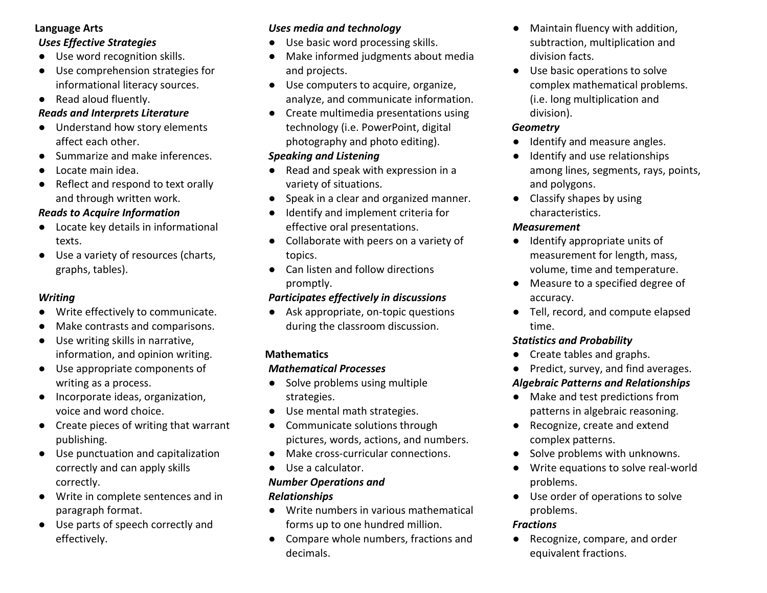#### **Language Arts**

#### *Uses Effective Strategies*

- Use word recognition skills.
- Use comprehension strategies for informational literacy sources.
- Read aloud fluently.

#### *Reads and Interprets Literature*

- Understand how story elements affect each other.
- Summarize and make inferences.
- Locate main idea.
- Reflect and respond to text orally and through written work.

## *Reads to Acquire Information*

- Locate key details in informational texts.
- Use a variety of resources (charts, graphs, tables).

#### *Writing*

- Write effectively to communicate.
- Make contrasts and comparisons.
- Use writing skills in narrative, information, and opinion writing.
- Use appropriate components of writing as a process.
- Incorporate ideas, organization, voice and word choice.
- Create pieces of writing that warrant publishing.
- Use punctuation and capitalization correctly and can apply skills correctly.
- Write in complete sentences and in paragraph format.
- Use parts of speech correctly and effectively.

## *Uses media and technology*

- Use basic word processing skills.
- Make informed judgments about media and projects.
- Use computers to acquire, organize, analyze, and communicate information.
- Create multimedia presentations using technology (i.e. PowerPoint, digital photography and photo editing).

## *Speaking and Listening*

- Read and speak with expression in a variety of situations.
- Speak in a clear and organized manner.
- Identify and implement criteria for effective oral presentations.
- Collaborate with peers on a variety of topics.
- Can listen and follow directions promptly.

## *Participates effectively in discussions*

● Ask appropriate, on-topic questions during the classroom discussion.

## **Mathematics**

## *Mathematical Processes*

- Solve problems using multiple strategies.
- Use mental math strategies.
- Communicate solutions through pictures, words, actions, and numbers.
- Make cross-curricular connections.
- Use a calculator.

## *Number Operations and*

## *Relationships*

- Write numbers in various mathematical forms up to one hundred million.
- Compare whole numbers, fractions and decimals.
- Maintain fluency with addition, subtraction, multiplication and division facts.
- Use basic operations to solve complex mathematical problems. (i.e. long multiplication and division).

#### *Geometry*

- Identify and measure angles.
- Identify and use relationships among lines, segments, rays, points, and polygons.
- Classify shapes by using characteristics.

## *Measurement*

- Identify appropriate units of measurement for length, mass, volume, time and temperature.
- Measure to a specified degree of accuracy.
- Tell, record, and compute elapsed time.

## *Statistics and Probability*

- Create tables and graphs.
- Predict, survey, and find averages.

## *Algebraic Patterns and Relationships*

- Make and test predictions from patterns in algebraic reasoning.
- Recognize, create and extend complex patterns.
- Solve problems with unknowns.
- Write equations to solve real-world problems.
- Use order of operations to solve problems.

## *Fractions*

Recognize, compare, and order equivalent fractions.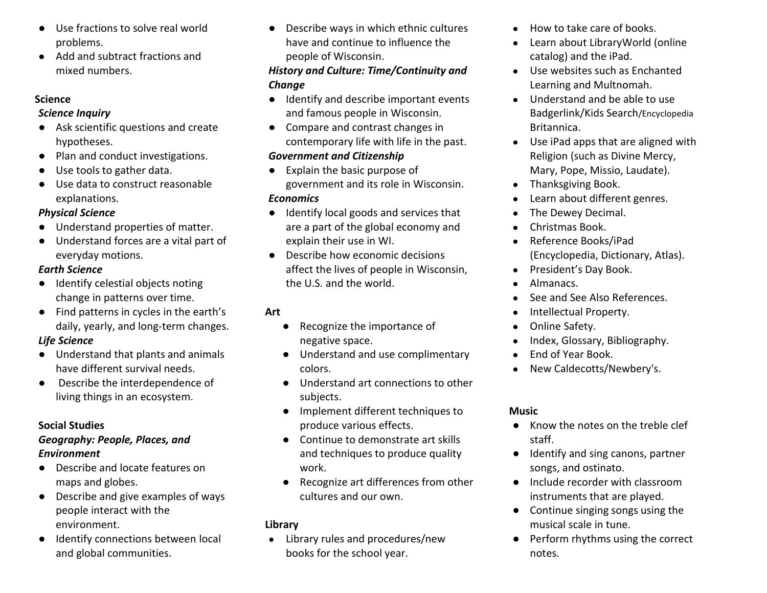- Use fractions to solve real world problems.
- Add and subtract fractions and mixed numbers.

#### **Science**

#### *Science Inquiry*

- Ask scientific questions and create hypotheses.
- Plan and conduct investigations.
- Use tools to gather data.
- Use data to construct reasonable explanations.

## *Physical Science*

- Understand properties of matter.
- Understand forces are a vital part of everyday motions.

## *Earth Science*

- Identify celestial objects noting change in patterns over time.
- Find patterns in cycles in the earth's daily, yearly, and long-term changes.

## *Life Science*

- Understand that plants and animals have different survival needs.
- Describe the interdependence of living things in an ecosystem.

## **Social Studies**

## *Geography: People, Places, and Environment*

- Describe and locate features on maps and globes.
- Describe and give examples of ways people interact with the environment.
- Identify connections between local and global communities.

● Describe ways in which ethnic cultures have and continue to influence the people of Wisconsin.

## *History and Culture: Time/Continuity and Change*

- Identify and describe important events and famous people in Wisconsin.
- Compare and contrast changes in contemporary life with life in the past.

## *Government and Citizenship*

- Explain the basic purpose of government and its role in Wisconsin. *Economics*
- Identify local goods and services that are a part of the global economy and explain their use in WI.
- Describe how economic decisions affect the lives of people in Wisconsin, the U.S. and the world.

## **Art**

- Recognize the importance of negative space.
- Understand and use complimentary colors.
- Understand art connections to other subjects.
- Implement different techniques to produce various effects.
- Continue to demonstrate art skills and techniques to produce quality work.
- Recognize art differences from other cultures and our own.

## **Library**

● Library rules and procedures/new books for the school year.

- How to take care of books.
- Learn about LibraryWorld (online catalog) and the iPad.
- Use websites such as Enchanted Learning and Multnomah.
- Understand and be able to use Badgerlink/Kids Search/Encyclopedia Britannica.
- Use iPad apps that are aligned with Religion (such as Divine Mercy, Mary, Pope, Missio, Laudate).
- Thanksgiving Book.
- Learn about different genres.
- The Dewey Decimal.
- Christmas Book.
- Reference Books/iPad (Encyclopedia, Dictionary, Atlas).
- President's Day Book.
- Almanacs.
- See and See Also References.
- Intellectual Property.
- Online Safety.
- Index, Glossary, Bibliography.
- End of Year Book.
- New Caldecotts/Newbery's.

## **Music**

- Know the notes on the treble clef staff.
- Identify and sing canons, partner songs, and ostinato.
- Include recorder with classroom instruments that are played.
- Continue singing songs using the musical scale in tune.
- Perform rhythms using the correct notes.